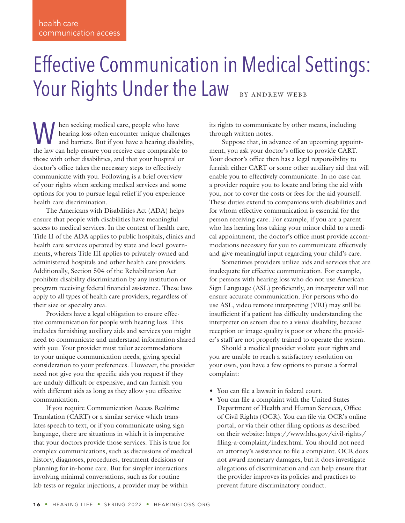# Effective Communication in Medical Settings: Your Rights Under the Law BY ANDREW WEBB

hen seeking medical care, people who have hearing loss often encounter unique challenges and barriers. But if you have a hearing disability, the law can help ensure you receive care comparable to those with other disabilities, and that your hospital or doctor's office takes the necessary steps to effectively communicate with you. Following is a brief overview of your rights when seeking medical services and some options for you to pursue legal relief if you experience health care discrimination.

The Americans with Disabilities Act (ADA) helps ensure that people with disabilities have meaningful access to medical services. In the context of health care, Title II of the ADA applies to public hospitals, clinics and health care services operated by state and local governments, whereas Title III applies to privately-owned and administered hospitals and other health care providers. Additionally, Section 504 of the Rehabilitation Act prohibits disability discrimination by any institution or program receiving federal financial assistance. These laws apply to all types of health care providers, regardless of their size or specialty area.

Providers have a legal obligation to ensure effective communication for people with hearing loss. This includes furnishing auxiliary aids and services you might need to communicate and understand information shared with you. Your provider must tailor accommodations to your unique communication needs, giving special consideration to your preferences. However, the provider need not give you the specific aids you request if they are unduly difficult or expensive, and can furnish you with different aids as long as they allow you effective communication.

If you require Communication Access Realtime Translation (CART) or a similar service which translates speech to text, or if you communicate using sign language, there are situations in which it is imperative that your doctors provide those services. This is true for complex communications, such as discussions of medical history, diagnoses, procedures, treatment decisions or planning for in-home care. But for simpler interactions involving minimal conversations, such as for routine lab tests or regular injections, a provider may be within

its rights to communicate by other means, including through written notes.

Suppose that, in advance of an upcoming appointment, you ask your doctor's office to provide CART. Your doctor's office then has a legal responsibility to furnish either CART or some other auxiliary aid that will enable you to effectively communicate. In no case can a provider require you to locate and bring the aid with you, nor to cover the costs or fees for the aid yourself. These duties extend to companions with disabilities and for whom effective communication is essential for the person receiving care. For example, if you are a parent who has hearing loss taking your minor child to a medical appointment, the doctor's office must provide accommodations necessary for you to communicate effectively and give meaningful input regarding your child's care.

Sometimes providers utilize aids and services that are inadequate for effective communication. For example, for persons with hearing loss who do not use American Sign Language (ASL) proficiently, an interpreter will not ensure accurate communication. For persons who do use ASL, video remote interpreting (VRI) may still be insufficient if a patient has difficulty understanding the interpreter on screen due to a visual disability, because reception or image quality is poor or where the provider's staff are not properly trained to operate the system.

Should a medical provider violate your rights and you are unable to reach a satisfactory resolution on your own, you have a few options to pursue a formal complaint:

- You can file a lawsuit in federal court.
- You can file a complaint with the United States Department of Health and Human Services, Office of Civil Rights (OCR). You can file via OCR's online portal, or via their other filing options as described on their website: [https://www.hhs.gov/civil-rights/](https://www.hhs.gov/civil-rights/filing-a-complaint/index.html) [filing-a-complaint/index.html](https://www.hhs.gov/civil-rights/filing-a-complaint/index.html). You should not need an attorney's assistance to file a complaint. OCR does not award monetary damages, but it does investigate allegations of discrimination and can help ensure that the provider improves its policies and practices to prevent future discriminatory conduct.